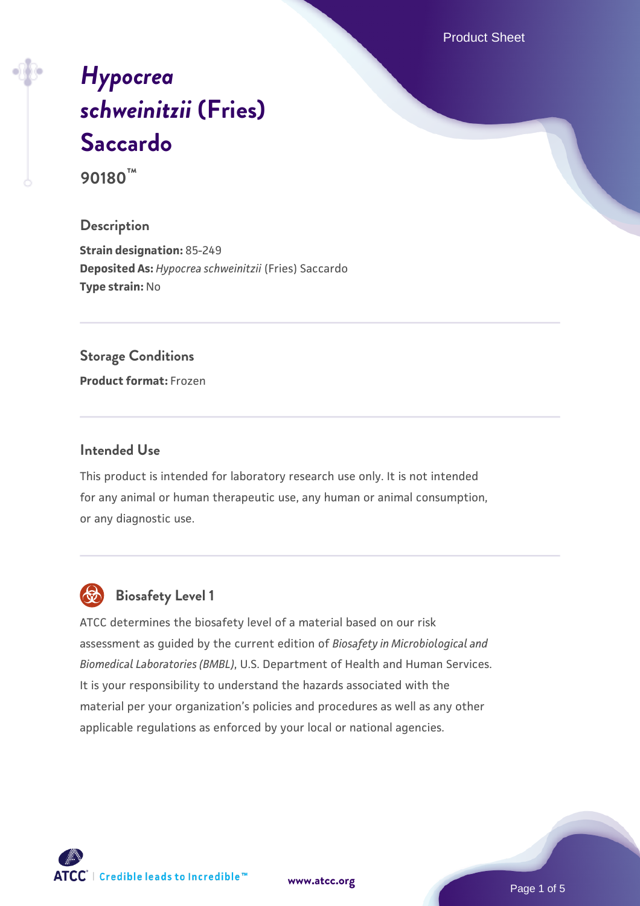Product Sheet

# *[Hypocrea](https://www.atcc.org/products/90180) [schweinitzii](https://www.atcc.org/products/90180)* **[\(Fries\)](https://www.atcc.org/products/90180) [Saccardo](https://www.atcc.org/products/90180)**

**90180™**

## **Description**

**Strain designation:** 85-249 **Deposited As:** *Hypocrea schweinitzii* (Fries) Saccardo **Type strain:** No

#### **Storage Conditions**

**Product format:** Frozen

#### **Intended Use**

This product is intended for laboratory research use only. It is not intended for any animal or human therapeutic use, any human or animal consumption, or any diagnostic use.



# **Biosafety Level 1**

ATCC determines the biosafety level of a material based on our risk assessment as guided by the current edition of *Biosafety in Microbiological and Biomedical Laboratories (BMBL)*, U.S. Department of Health and Human Services. It is your responsibility to understand the hazards associated with the material per your organization's policies and procedures as well as any other applicable regulations as enforced by your local or national agencies.

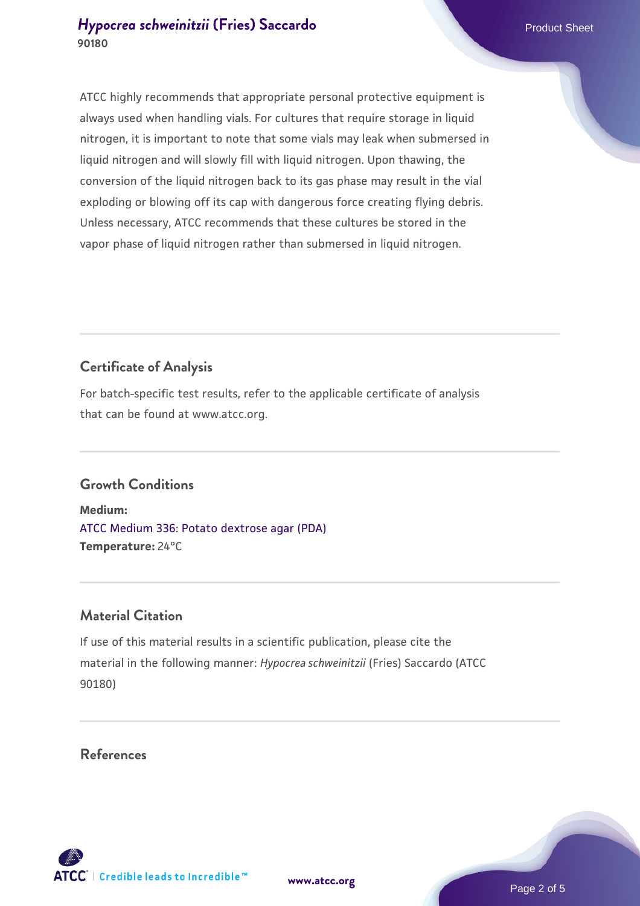#### *[Hypocrea schweinitzii](https://www.atcc.org/products/90180)* **[\(Fries\) Saccardo](https://www.atcc.org/products/90180) Product Sheet Product Sheet Product Sheet 90180**

ATCC highly recommends that appropriate personal protective equipment is always used when handling vials. For cultures that require storage in liquid nitrogen, it is important to note that some vials may leak when submersed in liquid nitrogen and will slowly fill with liquid nitrogen. Upon thawing, the conversion of the liquid nitrogen back to its gas phase may result in the vial exploding or blowing off its cap with dangerous force creating flying debris. Unless necessary, ATCC recommends that these cultures be stored in the vapor phase of liquid nitrogen rather than submersed in liquid nitrogen.

# **Certificate of Analysis**

For batch-specific test results, refer to the applicable certificate of analysis that can be found at www.atcc.org.

# **Growth Conditions**

**Medium:**  [ATCC Medium 336: Potato dextrose agar \(PDA\)](https://www.atcc.org/-/media/product-assets/documents/microbial-media-formulations/3/3/6/atcc-medium-336.pdf?rev=d9160ad44d934cd8b65175461abbf3b9) **Temperature:** 24°C

## **Material Citation**

If use of this material results in a scientific publication, please cite the material in the following manner: *Hypocrea schweinitzii* (Fries) Saccardo (ATCC 90180)

#### **References**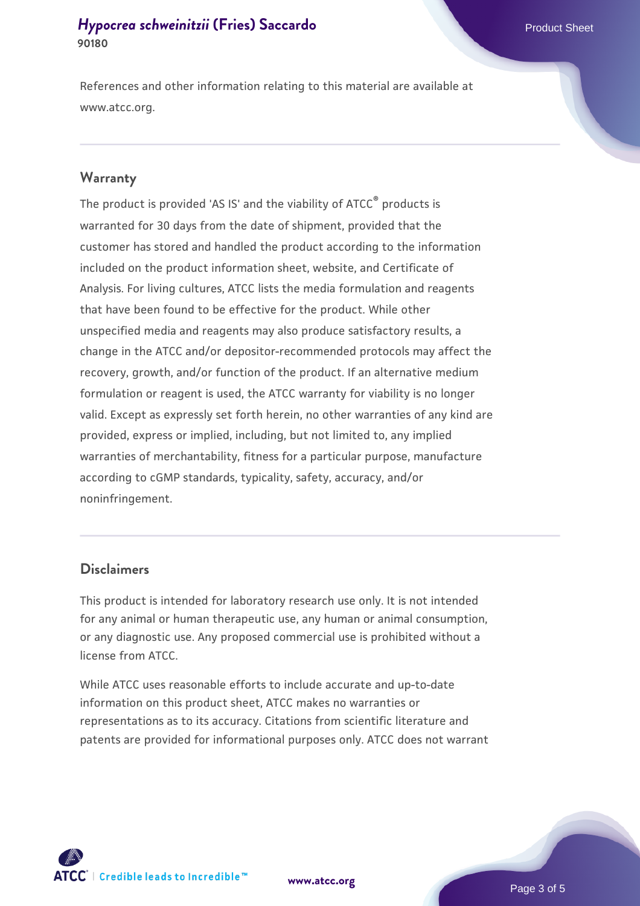## *[Hypocrea schweinitzii](https://www.atcc.org/products/90180)* **[\(Fries\) Saccardo](https://www.atcc.org/products/90180) <b>Product Sheet** Product Sheet **90180**

References and other information relating to this material are available at www.atcc.org.

#### **Warranty**

The product is provided 'AS IS' and the viability of ATCC® products is warranted for 30 days from the date of shipment, provided that the customer has stored and handled the product according to the information included on the product information sheet, website, and Certificate of Analysis. For living cultures, ATCC lists the media formulation and reagents that have been found to be effective for the product. While other unspecified media and reagents may also produce satisfactory results, a change in the ATCC and/or depositor-recommended protocols may affect the recovery, growth, and/or function of the product. If an alternative medium formulation or reagent is used, the ATCC warranty for viability is no longer valid. Except as expressly set forth herein, no other warranties of any kind are provided, express or implied, including, but not limited to, any implied warranties of merchantability, fitness for a particular purpose, manufacture according to cGMP standards, typicality, safety, accuracy, and/or noninfringement.

#### **Disclaimers**

This product is intended for laboratory research use only. It is not intended for any animal or human therapeutic use, any human or animal consumption, or any diagnostic use. Any proposed commercial use is prohibited without a license from ATCC.

While ATCC uses reasonable efforts to include accurate and up-to-date information on this product sheet, ATCC makes no warranties or representations as to its accuracy. Citations from scientific literature and patents are provided for informational purposes only. ATCC does not warrant

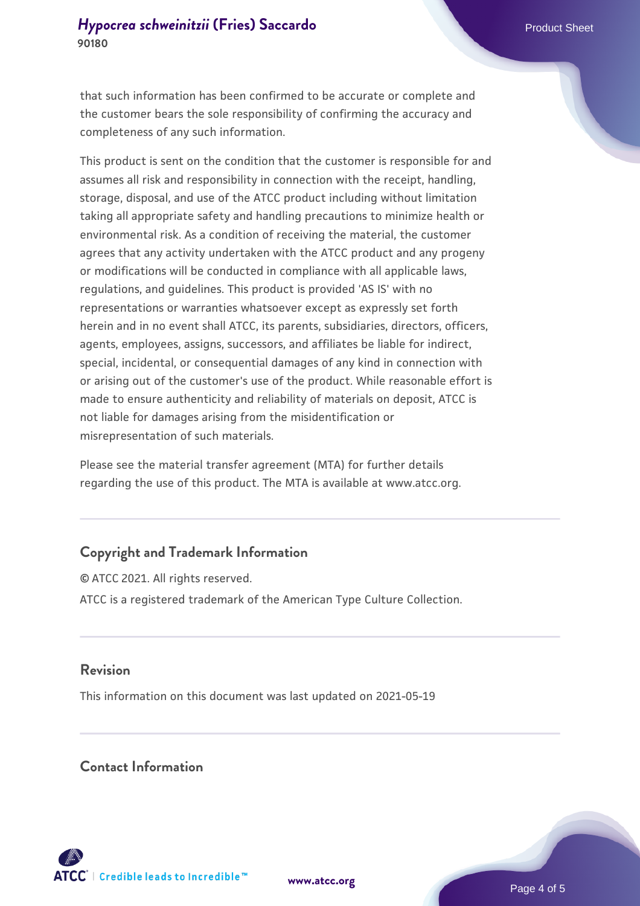that such information has been confirmed to be accurate or complete and the customer bears the sole responsibility of confirming the accuracy and completeness of any such information.

This product is sent on the condition that the customer is responsible for and assumes all risk and responsibility in connection with the receipt, handling, storage, disposal, and use of the ATCC product including without limitation taking all appropriate safety and handling precautions to minimize health or environmental risk. As a condition of receiving the material, the customer agrees that any activity undertaken with the ATCC product and any progeny or modifications will be conducted in compliance with all applicable laws, regulations, and guidelines. This product is provided 'AS IS' with no representations or warranties whatsoever except as expressly set forth herein and in no event shall ATCC, its parents, subsidiaries, directors, officers, agents, employees, assigns, successors, and affiliates be liable for indirect, special, incidental, or consequential damages of any kind in connection with or arising out of the customer's use of the product. While reasonable effort is made to ensure authenticity and reliability of materials on deposit, ATCC is not liable for damages arising from the misidentification or misrepresentation of such materials.

Please see the material transfer agreement (MTA) for further details regarding the use of this product. The MTA is available at www.atcc.org.

## **Copyright and Trademark Information**

© ATCC 2021. All rights reserved. ATCC is a registered trademark of the American Type Culture Collection.

#### **Revision**

This information on this document was last updated on 2021-05-19

## **Contact Information**